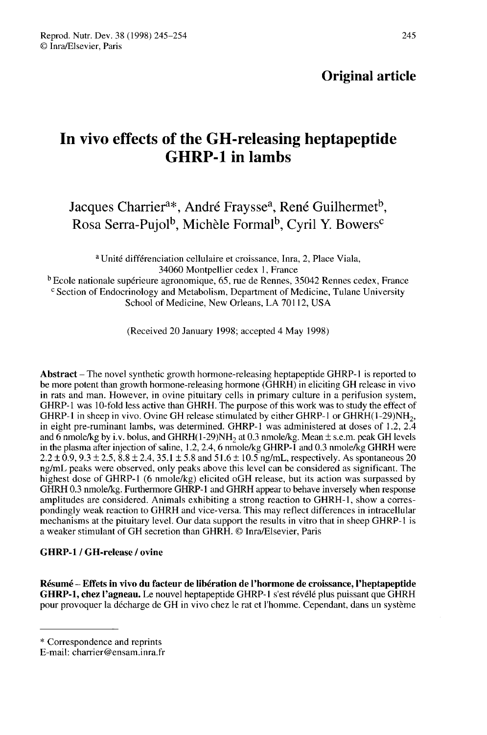# Original article

# In vivo effects of the GH-releasing heptapeptide GHRP-1 in lambs **effects of the GH-releasing heptapepti<br>GHRP-1 in lambs**<br>Charrier<sup>a\*</sup>, André Fraysse<sup>a</sup>, René Guilhermet<br>rra-Pujol<sup>b</sup>, Michèle Formal<sup>b</sup>, Cyril Y. Bowers

Jacques Charrier<sup>a\*</sup>, André Fraysse<sup>a</sup>, René Guilhermet<sup>b</sup>, Rosa **GHRP-1 in lambs**<br>
Serra-Pujol<sup>b</sup>, Michèle Formal<sup>b</sup>, Cyril Y. Bowers charrier<sup>4\*</sup>, André Fraysse<sup>a</sup>, René Guilhermet<sup>t</sup>

a Unité différenciation cellulaire et croissance, Inra, 2, Place Viala, 34060 Montpellier cedex 1, France

<sup>b</sup> Ecole nationale supérieure agronomique, 65, rue de Rennes, 35042 Rennes cedex, France C Section of Endocrinology and Metabolism, Department of Medicine, Tulane University School of Medicine, New Orleans, LA 70112, USA

(Received 20 January 1998; accepted 4 May 1998)

Abstract – The novel synthetic growth hormone-releasing heptapeptide GHRP-1 is reported to be more potent than growth hormone-releasing hormone (GHRH) in eliciting GH release in vivo in rats and man. However, in ovine pituitary cells in primary culture in a perifusion system, GHRP-1 was 10-fold less active than GHRH. The purpose of this work was to study the effect of GHRP-1 in sheep in vivo. Ovine GH release stimulated by either GHRP-1 or GHRH $(1-29)NH<sub>2</sub>$ , in eight pre-ruminant lambs, was determined. GHRP-1 was administered at doses of 1.2,  $2.\overline{4}$ and 6 nmole/kg by i.v. bolus, and GHRH $(1-29)$ NH<sub>2</sub> at 0.3 nmole/kg. Mean  $\pm$  s.e.m. peak GH levels in the plasma after injection of saline,  $1.2$ ,  $2.4$ , 6 nmole/kg GHRP- $\overline{1}$  and 0.3 nmole/kg GHRH were  $2.2 \pm 0.9$ ,  $9.3 \pm 2.5$ ,  $8.8 \pm 2.4$ ,  $35.1 \pm 5.8$  and  $51.6 \pm 10.5$  ng/mL, respectively. As spontaneous 20 ng/mL peaks were observed, only peaks above this level can be considered as significant. The highest dose of GHRP-1 (6 nmole/kg) elicited oGH release, but its action was surpassed by GHRH 0.3 nmole/kg. Furthermore GHRP-1 and GHRH appear to behave inversely when response amplitudes are considered. Animals exhibiting a strong reaction to GHRH-1, show a correspondingly weak reaction to GHRH and vice-versa. This may reflect differences in intracellular mechanisms at the pituitary level. Our data support the results in vitro that in sheep GHRP-I is a weaker stimulant of GH secretion than GHRH. © Inra/Elsevier, Paris

# GHRP-1 / GH-release / ovine

Résumé - Effets in vivo du facteur de libération de l'hormone de croissance, l'heptapeptide GHRP-1, chez l'agneau. Le nouvel heptapeptide GHRP-1 s'est révélé plus puissant que GHRH pour provoquer la décharge de GH in vivo chez le rat et l'homme. Cependant, dans un système

<sup>\*</sup> Correspondence and reprints

E-mail: charrier@ensam.inra.fr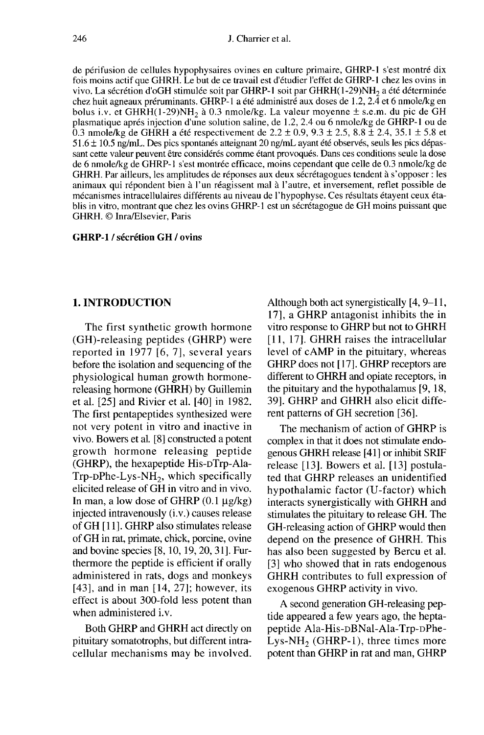de périfusion de cellules hypophysaires ovines en culture primaire, GHRP-1 s'est montré dix fois moins actif que GHRH. Le but de ce travail est d'étudier l'effet de GHRP-1 chez les ovins in vivo. La sécrétion d'oGH stimulée soit par GHRP-1 soit par GHRH(1-29)NH<sub>2</sub> a été déterminée chez huit agneaux préruminants. GHRP-1 a été administré aux doses de 1.2, 2.4 et 6 nmole/kg en bolus i.v. et GHRH(1-29)NH<sub>2</sub> à 0.3 nmole/kg. La valeur moyenne ± s.e.m. du pic de GH 246<br> **bolus i.v. et GHRH**. Le but de ce travail est d'étudier l'effet de GHRP-1 s'est montré dix<br>
fois moins actif que GHRH. Le but de ce travail est d'étudier l'effet de GHRP-1 chez les ovins in<br>
vivo. La sécrétion d'oGH plasmatique après injection d'une solution saline, de 1.2, 2.4 ou 6 nmole/kg de GHRP-1 ou de 0.3 nmole/kg de GHRH a été respectivement de 2.2  $\pm$  0.9, 9.3  $\pm$  2.5, 8.8  $\pm$  2.4, 35.1  $\pm$  5.8 et 51.6  $\pm$  10.5 ng/mL. Des pics spontanés atteignant 20 ng/mL ayant été observés, seuls les pics dépassant cette valeur peuvent être considérés comme étant provoqués. Dans ces conditions seule la dose de 6 nmole/kg de GHRP-1 s'est montrée efficace, moins cependant que celle de 0.3 nmole/kg de GHRH. Par ailleurs, les amplitudes de réponses aux deux sécrétagogues tendent à s'opposer : les animaux qui répondent bien à l'un réagissent mal à l'autre, et inversement, reflet possible de mécanismes intracellulaires différents au niveau de l'hypophyse. Ces résultats étayent ceux établis in vitro, montrant que chez les ovins GHRP-1 est un sécrétagogue de GH moins puissant que GHRH. © Inra/Elsevier, Paris

# GHRP-1 / sécrétion GH / ovins

# 1. INTRODUCTION

The first synthetic growth hormone (GH)-releasing peptides (GHRP) were reported in 1977 [6, 7], several years before the isolation and sequencing of the physiological human growth hormonereleasing hormone (GHRH) by Guillemin et al. [25] and Rivier et al. [40] in 1982. The first pentapeptides synthesized were not very potent in vitro and inactive in vivo. Bowers et al. [8] constructed a potent growth hormone releasing peptide (GHRP), the hexapeptide His-DTrp-Ala-<br>Trp-DPhe-Lys-NH<sub>2</sub>, which specifically before the isolation and sequencing of the<br>physiological human growth hormone-<br>releasing hormone (GHRH) by Guillemin<br>et al. [25] and Rivier et al. [40] in 1982.<br>The first pentapeptides synthesized were<br>not very potent in elicited release of GH in vitro and in vivo. In man, a low dose of GHRP  $(0.1 \mu g/kg)$ injected intravenously (i.v.) causes release of GH [11]. GHRP also stimulates release of GH in rat, primate, chick, porcine, ovine and bovine species [8, 10, 19, 20, 31]. Furthermore the peptide is efficient if orally administered in rats, dogs and monkeys [43], and in man [14, 27]; however, its effect is about 300-fold less potent than when administered i.v.

Both GHRP and GHRH act directly on pituitary somatotrophs, but different intracellular mechanisms may be involved. Although both act synergistically [4, 9-11, 17], a GHRP antagonist inhibits the in vitro response to GHRP but not to GHRH [11, 17]. GHRH raises the intracellular level of cAMP in the pituitary, whereas GHRP does not [17]. GHRP receptors are different to GHRH and opiate receptors, in the pituitary and the hypothalamus [9, 18, 39]. GHRP and GHRH also elicit different patterns of GH secretion [36].

The mechanism of action of GHRP is complex in that it does not stimulate endogenous GHRH release [41 ] or inhibit SRIF release [13]. Bowers et al. [13] postulated that GHRP releases an unidentified hypothalamic factor (U-factor) which interacts synergistically with GHRH and stimulates the pituitary to release GH. The GH-releasing action of GHRP would then depend on the presence of GHRH. This has also been suggested by Bercu et al. [3] who showed that in rats endogenous GHRH contributes to full expression of exogenous GHRP activity in vivo.

A second generation GH-releasing peptide appeared a few years ago, the heptapeptide Ala-His-DBNal-Ala-Trp-DPhe-<br>Lys-NH<sub>2</sub> (GHRP-1), three times more Record generation GH-releasing pep-<br>tide appeared a few years ago, the hepta-<br>peptide Ala-His-DBNal-Ala-Trp-DPhe-<br>Lys-NH<sub>2</sub> (GHRP-1), three times more<br>potent than GHRP in rat and man, GHRP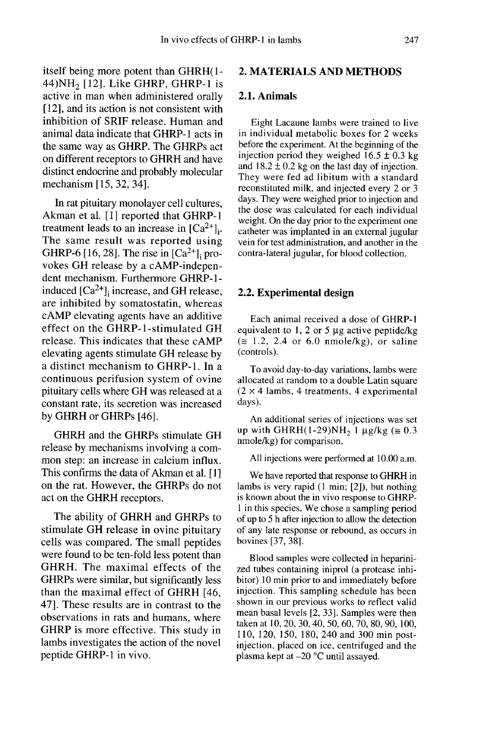itself being more potent than GHRH(1- In vivo effects of GHRP-1 in lambs<br>itself being more potent than GHRH $(1 - 2$ . MATERIA<br>44)NH<sub>2</sub> [12]. Like GHRP, GHRP-1 is active in man when administered orally [12], and its action is not consistent with inhibition of SRIF release. Human and animal data indicate that GHRP-1 acts in the same way as GHRP. The GHRPs act on different receptors to GHRH and have distinct endocrine and probably molecular mechanism [15, 32, 34].

In rat pituitary monolayer cell cultures, Akman et al. [1] reported that GHRP-1 Akman et al. [1] reported that GHRP-1<br>treatment leads to an increase in  $[Ca^{2+}]_i$ .<br>The same result was reported using<br>GHRP-6 [16, 28]. The rise in  $[Ca^{2+}]_i$  pro-<br>vokes GH release by a cAMP-indepen-The same result was reported using<br>GHRP-6 [16, 28]. The rise in  $[Ca<sup>2+</sup>]$ ; provokes GH release by a cAMP-independent mechanism. Furthermore GHRP-1 induced  $[Ca<sup>2+</sup>]$ <sub>i</sub> increase, and GH release, are inhibited by somatostatin, whereas cAMP elevating agents have an additive effect on the GHRP-1-stimulated GH release. This indicates that these cAMP elevating agents stimulate GH release by a distinct mechanism to GHRP-1. In a continuous perifusion system of ovine pituitary cells where GH was released at a constant rate, its secretion was increased by GHRH or GHRPs [46].

GHRH and the GHRPs stimulate GH release by mechanisms involving a common step: an increase in calcium influx. This confirms the data of Akman et al. [1] ] on the rat. However, the GHRPs do not act on the GHRH receptors.

The ability of GHRH and GHRPs to stimulate GH release in ovine pituitary cells was compared. The small peptides were found to be ten-fold less potent than GHRH. The maximal effects of the GHRPs were similar, but significantly less than the maximal effect of GHRH [46, 47]. These results are in contrast to the observations in rats and humans, where GHRP is more effective. This study in lambs investigates the action of the novel peptide GHRP-1 in vivo.

# 2. MATERIALS AND METHODS

# 2.1. Animals

Eight Lacaune lambs were trained to live in individual metabolic boxes for 2 weeks before the experiment. At the beginning of the injection period they weighed  $16.5 \pm 0.3$  kg and  $18.2 \pm 0.2$  kg on the last day of injection. They were fed ad libitum with a standard reconstituted milk, and injected every 2 or 3 days. They were weighed prior to injection and the dose was calculated for each individual weight. On the day prior to the experiment one catheter was implanted in an external jugular vein for test administration, and another in the contra-lateral jugular, for blood collection.

#### 2.2. Experimental design

Each animal received a dose of GHRP-1 equivalent to 1, 2 or 5  $\mu$ g active peptide/kg  $(\approx 1.2, 2.4$  or 6.0 nmole/kg), or saline (controls).

To avoid day-to-day variations, lambs were allocated at random to a double Latin square  $(2 \times 4$  lambs, 4 treatments, 4 experimental days). ( $\equiv$  1.2, 2.4 or 6.0 nmole/kg), or saline<br>(controls).<br>To avoid day-to-day variations, lambs were<br>allocated at random to a double Latin square<br>(2 × 4 lambs, 4 treatments, 4 experimental<br>days).<br>An additional series of inje

An additional series of injections was set<br>up with GHRH(1-29)NH<sub>2</sub> 1  $\mu$ g/kg ( $\approx$  0.3 nmole/kg) for comparison.

All injections were performed at 10.00 a.m.

We have reported that response to GHRH in lambs is very rapid (1 min; [2]), but nothing is known about the in vivo response to GHRP-1 in this species. We chose a sampling period of up to 5 h after injection to allow the detection of any late response or rebound, as occurs in bovines [37, 38].

Blood samples were collected in heparinized tubes containing iniprol (a protease inhibitor) 10 min prior to and immediately before injection. This sampling schedule has been shown in our previous works to reflect valid mean basal levels [2, 33]. Samples were then taken at 10, 20, 30, 40, 50, 60, 70, 80, 90, 100, 110, 120, 150, 180, 240 and 300 min postinjection, placed on ice, centrifuged and the plasma kept at -20 °C until assayed.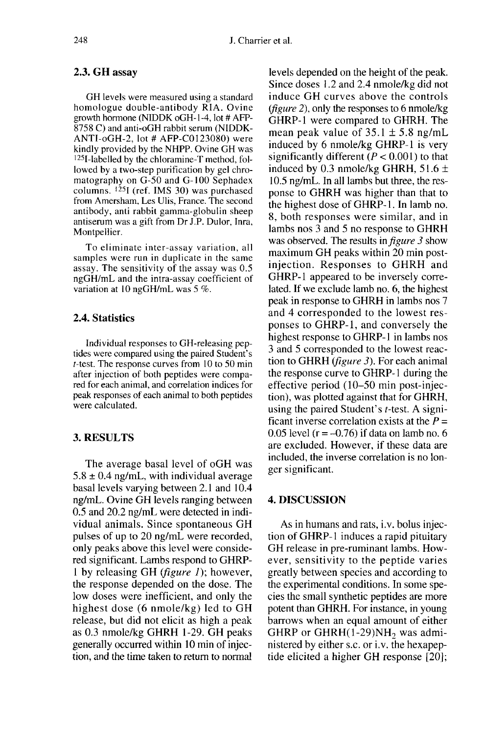# 2.3. GH assay

GH levels were measured using a standard homologue double-antibody RIA. Ovine growth hormone (NIDDK oGH-1-4, lot # AFP-8758 C) and anti-oGH rabbit serum (NIDDK-ANTI-oGH-2, lot # AFP-C0123080) were kindly provided by the NHPP. Ovine GH was 125-labelled by the chloramine-T method, followed by a two-step purification by gel chromatography on G-50 and G-100 Sephadex columns. !25I (ref. IMS 30) was purchased from Amersham, Les Ulis, France. The second antibody, anti rabbit gamma-globulin sheep antiserum was a gift from Dr J.P. Dulor, Inra, Montpellier.

To eliminate inter-assay variation, all samples were run in duplicate in the same assay. The sensitivity of the assay was 0.5 ngGH/mL and the intra-assay coefficient of variation at 10 ngGH/mL was 5 %.

# 2.4. Statistics

Individual responses to GH-releasing peptides were compared using the paired Student's t-test. The response curves from 10 to 50 min after injection of both peptides were compared for each animal, and correlation indices for peak responses of each animal to both peptides were calculated.

# 3. RESULTS

The average basal level of oGH was  $5.8 \pm 0.4$  ng/mL, with individual average basal levels varying between 2.1 and 10.4 ng/mL. Ovine GH levels ranging between 0.5 and 20.2 ng/mL were detected in individual animals. Since spontaneous GH pulses of up to 20 ng/mL were recorded, only peaks above this level were considered significant. Lambs respond to GHRP-1 by releasing GH (figure 1); however, the response depended on the dose. The low doses were inefficient, and only the highest dose (6 nmole/kg) led to GH<br>release, but did not elicit as high a peak as 0.3 nmole/kg GHRH 1-29. GH peaks generally occurred within 10 min of injection, and the time taken to return to normal

levels depended on the height of the peak. Since doses I .2 and 2.4 nmole/kg did not induce GH curves above the controls (figure 2), only the responses to 6 nmole/kg GHRP-1 were compared to GHRH. The mean peak value of  $35.1 \pm 5.8$  ng/mL induced by 6 nmole/kg GHRP-1 is very significantly different  $(P < 0.001)$  to that induced by 0.3 nmole/kg GHRH,  $51.6 \pm$ 10.5 ng/mL. In all lambs but three, the response to GHRH was higher than that to the highest dose of GHRP-1. In lamb no. 8, both responses were similar, and in lambs nos 3 and 5 no response to GHRH was observed. The results in *figure 3* show maximum GH peaks within 20 min postinjection. Responses to GHRH and GHRP-1 appeared to be inversely correlated. If we exclude lamb no. 6, the highest peak in response to GHRH in lambs nos 7 and 4 corresponded to the lowest responses to GHRP-1, and conversely the highest response to GHRP-1 in lambs nos 3 and 5 corresponded to the lowest reaction to GHRH (figure 3). For each animal the response curve to GHRP-1 during the effective period (10-50 min post-injection), was plotted against that for GHRH, using the paired Student's  $t$ -test. A significant inverse correlation exists at the  $P =$ 0.05 level ( $r = -0.76$ ) if data on lamb no. 6 are excluded. However, if these data are included, the inverse correlation is no longer significant.

# 4. DISCUSSION

As in humans and rats, i.v. bolus injection of GHRP-1 induces a rapid pituitary GH release in pre-ruminant lambs. However, sensitivity to the peptide varies greatly between species and according to the experimental conditions. In some species the small synthetic peptides are more potent than GHRH. For instance, in young barrows when an equal amount of either<br>GHRP or GHRH(1-29)NH<sub>2</sub> was admition of GHRP-1 induces a rapid pituitary<br>GH release in pre-ruminant lambs. How-<br>ever, sensitivity to the peptide varies<br>greatly between species and according to<br>the experimental conditions. In some spe-<br>cies the small syn nistered by either s.c. or i.v. the hexapeptide elicited a higher GH response [20];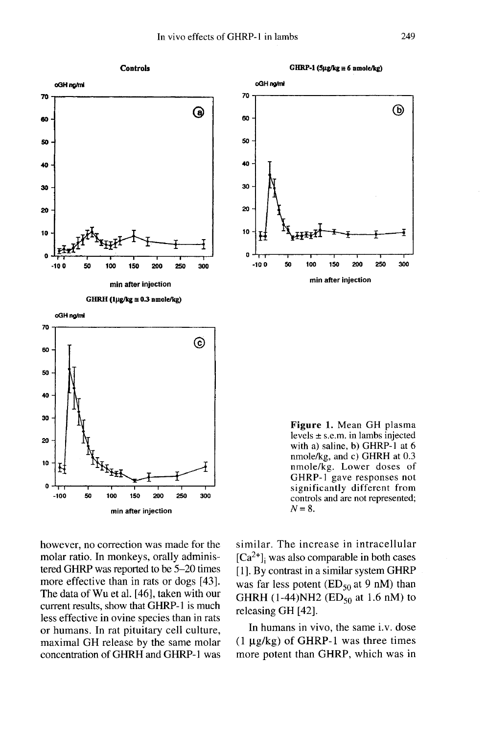

however, no correction was made for the molar ratio. In monkeys, orally administered GHRP was reported to be 5-20 times more effective than in rats or dogs [43]. The data of Wu et al. [46], taken with our current results, show that GHRP-1 is much less effective in ovine species than in rats or humans. In rat pituitary cell culture, maximal GH release by the same molar concentration of GHRH and GHRP-1 was similar. The increase in intracellular  $[Ca<sup>2+</sup>]$ , was also comparable in both cases [1]. By contrast in a similar system GHRP was far less potent ( $ED<sub>50</sub>$  at 9 nM) than GHRH (1-44)NH2 ( $ED_{50}$  at 1.6 nM) to releasing GH [42].

In humans in vivo, the same i.v. dose  $(1 \mu g/kg)$  of GHRP-1 was three times more potent than GHRP, which was in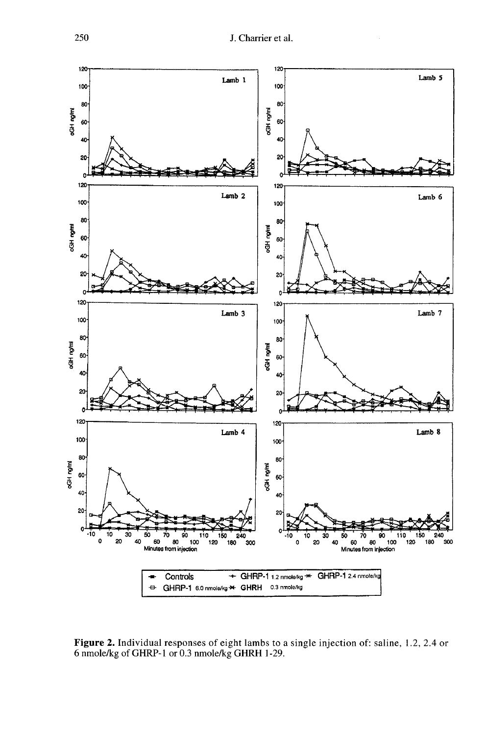

Figure 2. Individual responses of eight lambs to a single injection of: saline, 1.2, 2.4 or 6 nmole/kg of GHRP-1 or 0.3 nmole/kg GHRH 1-29.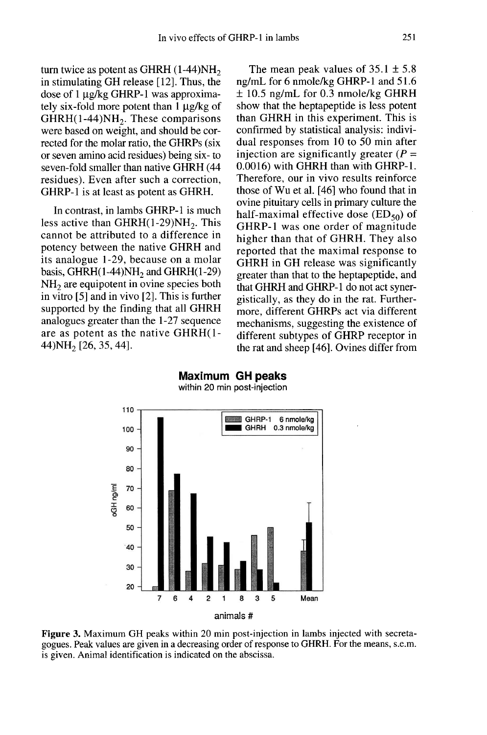turn twice as potent as GHRH in stimulating GH release [12]. Thus, the ivo effects o<br> $(1-44)NH<sub>2</sub>$ . Thus, the dose of  $1 \mu g/kg$  GHRP-1 was approximately six-fold more potent than 1  $\mu$ g/kg of GHRH(1-44)NH<sub>2</sub>. These comparisons In vivo effects of<br>turn twice as potent as GHRH (1-44)NH<sub>2</sub><br>in stimulating GH release [12]. Thus, the<br>dose of 1 µg/kg GHRP-1 was approxima-<br>tely six-fold more potent than 1 µg/kg of<br>GHRH(1-44)NH<sub>2</sub>. These comparisons<br>were rected for the molar ratio, the GHRPs (six or seven amino acid residues) being six- to seven-fold smaller than native GHRH (44 residues). Even after such a correction, GHRP-1 is at least as potent as GHRH. SHAT(1-44)<br>
were based on weight, and should be corrected for the molar ratio, the GHRPs (six dual resp<br>
or seven amino acid residues) being six-to<br>
injection<br>
seven-fold smaller than native GHRH (44 0.0016) w<br>
residues).

In contrast, in lambs GHRP-1 is much<br>less active than  $GHRH(1-29)NH_2$ . This cannot be attributed to a difference in potency between the native GHRH and its analogue 1-29, because on a molar residues). Even after such a correction,<br>GHRP-1 is at least as potent as GHRH.<br>In contrast, in lambs GHRP-1 is much<br>less active than GHRH(1-29)NH<sub>2</sub>. This<br>cannot be attributed to a difference in<br>potency between the native basis, GHRH $(1-44)NH<sub>2</sub>$  and GHRH $(1-29)$ <br>NH<sub>2</sub> are equipotent in ovine species both in vitro [5] and in vivo [2]. This is further supported by the finding that all GHRH analogues greater than the 1-27 sequence are as potent as the native GHRH(1- 44)NH<sub>2</sub> [26, 35, 44].

The mean peak values of  $35.1 \pm 5.8$ ng/mL for 6 nmole/kg GHRP-1 and 51.6 ± 10.5 ng/mL for 0.3 nmole/kg GHRH show that the heptapeptide is less potent than GHRH in this experiment. This is confirmed by statistical analysis: individual responses from 10 to 50 min after injection are significantly greater  $(P =$ 0.0016) with GHRH than with GHRP-1. Therefore, our in vivo results reinforce those of Wu et al. [46] who found that in<br>ovine pituitary cells in primary culture the<br>half-maximal effective dose  $(ED_{50})$  of<br>GHRP-1 was one order of magnitude ovine pituitary cells in primary culture the<br>half-maximal effective dose  $(ED_{50})$  of GHRP-1 was one order of magnitude higher than that of GHRH. They also reported that the maximal response to GHRH in GH release was significantly greater than that to the heptapeptide, and that GHRH and GHRP-1 do not act synergistically, as they do in the rat. Furthermore, different GHRPs act via different mechanisms, suggesting the existence of different subtypes of GHRP receptor in the rat and sheep [46]. Ovines differ from



Maximum GH peaks within 20 min post-injection

Figure 3. Maximum GH peaks within 20 min post-injection in lambs injected with secretagogues. Peak values are given in a decreasing order of response to GHRH. For the means, s.e.m. is given. Animal identification is indicated on the abscissa.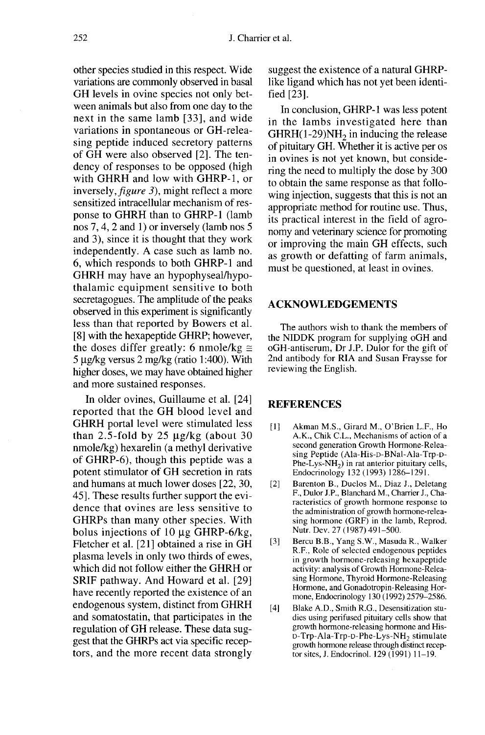other species studied in this respect. Wide variations are commonly observed in basal GH levels in ovine species not only between animals but also from one day to the next in the same lamb [33], and wide variations in spontaneous or GH-releasing peptide induced secretory patterns of GH were also observed [2]. The tendency of responses to be opposed (high with GHRH and low with GHRP-1, or inversely, figure 3), might reflect a more sensitized intracellular mechanism of response to GHRH than to GHRP-1 (lamb nos 7, 4, 2 and 1) or inversely (lamb nos 5 and 3), since it is thought that they work independently. A case such as lamb no. 6, which responds to both GHRP-1 and GHRH may have an hypophyseal/hypothalamic equipment sensitive to both secretagogues. The amplitude of the peaks observed in this experiment is significantly less than that reported by Bowers et al. [8] with the hexapeptide GHRP; however, the doses differ greatly: 6 nmole/kg  $\approx$  $5 \mu g/kg$  versus  $2 \mu g/kg$  (ratio 1:400). With higher doses, we may have obtained higher and more sustained responses.

In older ovines, Guillaume et al. [24] reported that the GH blood level and GHRH portal level were stimulated less than 2.5-fold by 25  $\mu$ g/kg (about 30 nmole/kg) hexarelin (a methyl derivative of GHRP-6), though this peptide was a potent stimulator of GH secretion in rats and humans at much lower doses [22, 30, 45]. These results further support the evidence that ovines are less sensitive to GHRPs than many other species. With bolus injections of 10  $\mu$ g GHRP-6/kg, Fletcher et al. [21] obtained a rise in GH plasma levels in only two thirds of ewes, which did not follow either the GHRH or SRIF pathway. And Howard et al. [29] have recently reported the existence of an endogenous system, distinct from GHRH and somatostatin, that participates in the regulation of GH release. These data suggest that the GHRPs act via specific receptors, and the more recent data strongly

suggest the existence of a natural GHRPlike ligand which has not yet been identified [23].

In conclusion, GHRP-1 was less potent in the lambs investigated here than  $GHRH(1-29)NH<sub>2</sub>$  in inducing the release ret al.<br>
suggest the existence of a natural GHRP-<br>
like ligand which has not yet been identi-<br>
fied [23].<br>
In conclusion, GHRP-1 was less potent<br>
in the lambs investigated here than<br>
GHRH(1-29)NH<sub>2</sub> in inducing the release of pituitary GH. Whether it is active per os in ovines is not yet known, but considering the need to multiply the dose by 300 to obtain the same response as that following injection, suggests that this is not an appropriate method for routine use. Thus, its practical interest in the field of agro-<br>nomy and veterinary science for promoting or improving the main GH effects, such as growth or defatting of farm animals, must be questioned, at least in ovines.

# ACKNOWLEDGEMENTS

The authors wish to thank the members of the NIDDK program for supplying oGH and oGH-antiserum, Dr J.P. Dulor for the gift of 2nd antibody for RIA and Susan Fraysse for reviewing the English.

# **REFERENCES**

- [1] ]Akman M.S., Girard M., O'Brien L.F., Ho A.K., Chik C.L., Mechanisms of action of a second generation Growth Hormone-Releasing Peptide (Ala-His-D-BNal-Ala-Trp-D-**ERENCES**<br>Akman M.S., Girard M., O'Brien L.F., Hc<br>A.K., Chik C.L., Mechanisms of action of a<br>second generation Growth Hormone-Relea-<br>sing Peptide (Ala-His-D-BNal-Ala-Trp-D-<br>Phe-Lys-NH<sub>2</sub>) in rat anterior pituitary cells,<br>E Endocrinology 132 (1993) 1286-1291.
- [2] Barenton B., Duclos M., Diaz J., Deletang F., Dulor J.P., Blanchard M., Charrier J., Characteristics of growth hormone response to the administration of growth hormone-releasing hormone (GRF) in the lamb, Reprod. Nutr. Dev. 27 (1987) 491-500.
- [3] Bercu B.B., Yang S.W., Masuda R., Walker R.F., Role of selected endogenous peptides in growth hormone-releasing hexapeptide activity: analysis of Growth Hormone-Releasing Hormone, Thyroid Hormone-Releasing Hormone, and Gonadotropin-Releasing Hormone, Endocrinology 130 (1992) 2579-2586. Buchain D., Dations M., Data 3, Decreaming F., Dulor J.P., Blanchard M., Charrier J., Charmen racteristics of growth hormone response to the administration of growth hormone-releasing hormone (GRF) in the lamb, Reprod. Nut
- [4] Blake A.D., Smith R.G., Desensitization studies using perifused pituitary cells show that growth hormone-releasing hormone and His-<br> $D-Trp-Ala-Trp-D-Phe-Lys-NH<sub>2</sub>$  stimulate growth hormone release through distinct recep tor sites, J. Endocrinol. 129 (1991) 11-19.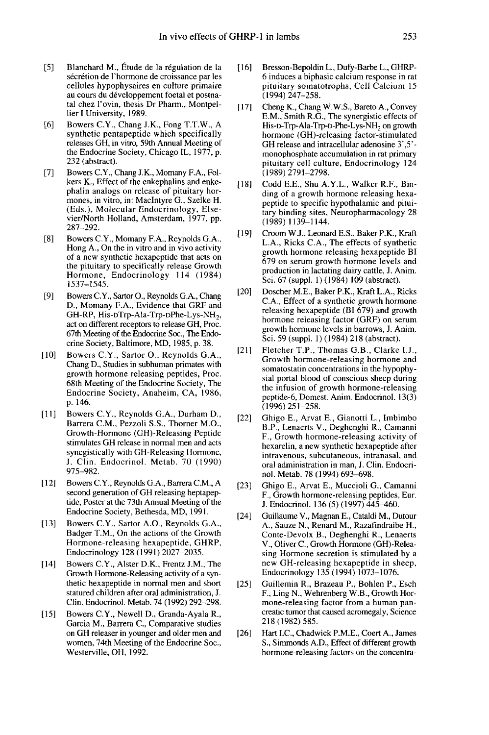- [5] Blanchard M., Etude de la regulation de la sécrétion de l'hormone de croissance par les cellules hypophysaires en culture primaire tal chez l'ovin, thesis Dr Pharm., Montpellier I University, 1989.
- [6] Bowers C.Y., Chang J.K., Fong T.T.W., A synthetic pentapeptide which specifically releases GH, in vitro, 59th Annual Meeting of the Endocrine Society, Chicago IL, 1977, p. 232 (abstract).
- [7] Bowers C.Y., Chang J.K., Momany F.A., Folkers K., Effect of the enkephalins and enkephalin analogs on release of pituitary hormones, in vitro, in: Maclntyre G., Szelke H. (Eds.), Molecular Endocrinology, Elsevier/North Holland, Amsterdam, 1977, pp. 287-292. ract).<br>
C.Y., Chang J.K., Momany F.A., Fol-<br>
Effect of the enkephalins and enke-<br>
alalogs on release of pituitary hor-<br>
artico, in: Machlyre G., Szelke H.<br>
Molecular Endocrinology, Else-<br>
H. Holland, Amsterdam, 1977, pp.<br>
- [8] Bowers C.Y., Momany F.A., Reynolds G.A., Hong A., On the in vitro and in vivo activity of a new synthetic hexapeptide that acts on the pituitary to specifically release Growth Hormone, Endocrinology 114 (1984) 1537-1545.
- [9] Bowers C.Y., Sartor O., Reynolds G.A., Chang D., Momany F.A., Evidence that GRF and GH-RP, His-DTrp-Ala-Trp-DPhe-Lys-NH<sub>2</sub>, act on different receptors to release GH, Proc. 67th Meeting of the Endocrine Soc., The Endocrine Society, Baltimore, MD, 1985, p. 38.
- [10] Bowers C.Y., Sartor O., Reynolds G.A., Chang D., Studies in subhuman primates with growth hormone releasing peptides, Proc. 68th Meeting of the Endocrine Society, The Endocrine Society, Anaheim, CA, 1986, p. 146.
- [11] Bowers C.Y., Reynolds G.A., Durham D., Barrera C.M., Pezzoli S.S., Thorner M.O., Growth-Hormone (GH)-Releasing Peptide stimulates GH release in normal men and acts synegistically with GH-Releasing Hormone, J. Clin. Endocrinol. Metab. 70 (t990) 975-982.
- [12] Bowers C.Y., Reynolds G.A., Barrera C.M., A second generation of GH releasing heptapeptide, Poster at the 73th Annual Meeting of the Endocrine Society, Bethesda, MD, 1991.
- [13] Bowers C.Y., Sartor A.O., Reynolds G.A., Badger T.M., On the actions of the Growth Hormone-releasing hexapeptide, GHRP, Endocrinology 128 (1991) 2027-2035.
- [14] Bowers C.Y., Alster D.K., Frentz J.M., The Growth Hormone-Releasing activity of a synthetic hexapeptide in normal men and short statured children after oral administration, J. Clin. Endocrinol. Metab. 74 (1992) 292-298.
- [15] Bowers C.Y., Newell D., Granda-Ayala R., Garcia M., Barrera C., Comparative studies on GH releaser in younger and older men and women, 74th Meeting of the Endocrine Soc., Westerville, OH, 1992.
- [16] Bresson-Bepoldin L., Dufy-Barbe L., GHRP-6 induces a biphasic calcium response in rat pituitary somatotrophs, Cell Calcium 15 (1994) 247-258.
- [17] Cheng K., Chang W.W.S., Bareto A., Convey E.M., Smith R.G., The synergistic effects of His-D-Trp-Ala-Trp-D-Phe-Lys-NH<sub>2</sub> on growth 253<br>Bresson-Bepoldin L., Dufy-Barbe L., GHRP-6 induces a biphasic calcium response in rat<br>pituitary somatotrophs, Cell Calcium 15<br>(1994) 247–258.<br>Cheng K., Chang W.W.S., Bareto A., Convey<br>E.M., Smith R.G., The synergistic GH release and intracellular adenosine 3',5' monophosphate accumulation in rat primary pituitary cell culture, Endocrinology 124 (1989) 2791-2798.
- [18] Codd E.E., Shu A.Y.L., Walker R.F., Binding of a growth hormone releasing hexapeptide to specific hypothalamic and pituitary binding sites, Neuropharmacology 28 ( 1989) 1139-1144.
- [19] Croom W.J., Leonard E.S., Baker P.K., Kraft L.A., Ricks C.A., The effects of synthetic growth hormone releasing hexapeptide BI 679 on serum growth hormone levels and production in lactating dairy cattle, J. Anim. Sci. 67 (suppl. 1) (1984) 109 (abstract).
- [20] Doscher M.E., Baker P.K., Kraft L.A., Ricks C.A., Effect of a synthetic growth hormone releasing hexapeptide (BI 679) and growth hormone releasing factor (GRF) on serum growth hormone levels in barrows, J. Anim. Sci. 59 (suppl. 1) (1984) 218 (abstract).
- [21] Fletcher T.P., Thomas G.B., Clarke I.J., Growth hormone-releasing hormone and somatostatin concentrations in the hypophysial portal blood of conscious sheep during the infusion of growth hormone-releasing peptide-6, Domest. Anim. Endocrinol. 13(3) (1996)251-258.
- [22] Ghigo E., Arvat E., Gianotti L., Imbimbo B.P., Lenaerts V., Deghenghi R., Camanni F., Growth hormone-releasing activity of hexarelin, a new synthetic hexapeptide after intravenous, subcutaneous, intranasal, and oral administration in man, J. Clin. Endocrinol. Metab. 78 (1994) 693-698.
- [23] Ghigo E., Arvat E., Muccioli G., Camanni F., Growth hormone-releasing peptides, Eur. J. Endocrinol. 136 (5) (1997) 445–460.
- [24] Guillaume V., Magnan E., Cataldi M., Dutour A., Sauze N., Renard M., Razafindraibe H., Conte-Devolx B., Deghenghi R., Lenaerts V., Oliver C., Growth Hormone (GH)-Releasing Hormone secretion is stimulated by a new GH-releasing hexapeptide in sheep, Endocrinology 135 (1994) 1073-1076.
- [25] Guillemin R., Brazeau P., Bohlen P., Esch F., Ling N., Wehrenberg W.B., Growth Hormone-releasing factor from a human pan creatic tumor that caused acromegaly, Science 218 (1982) 585.
- [26] Hart LC., Chadwick P.M.E., Coert A., James S., Simmonds A.D., Effect of different growth hormone-releasing factors on the concentra-